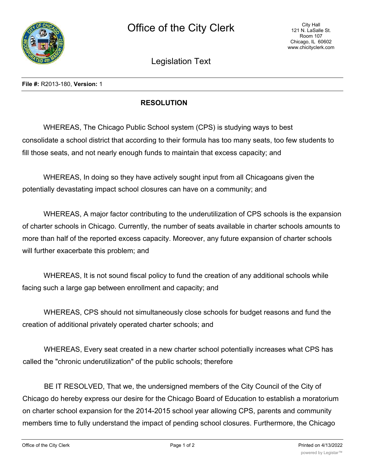

Legislation Text

**File #:** R2013-180, **Version:** 1

## **RESOLUTION**

WHEREAS, The Chicago Public School system (CPS) is studying ways to best consolidate a school district that according to their formula has too many seats, too few students to fill those seats, and not nearly enough funds to maintain that excess capacity; and

WHEREAS, In doing so they have actively sought input from all Chicagoans given the potentially devastating impact school closures can have on a community; and

WHEREAS, A major factor contributing to the underutilization of CPS schools is the expansion of charter schools in Chicago. Currently, the number of seats available in charter schools amounts to more than half of the reported excess capacity. Moreover, any future expansion of charter schools will further exacerbate this problem; and

WHEREAS, It is not sound fiscal policy to fund the creation of any additional schools while facing such a large gap between enrollment and capacity; and

WHEREAS, CPS should not simultaneously close schools for budget reasons and fund the creation of additional privately operated charter schools; and

WHEREAS, Every seat created in a new charter school potentially increases what CPS has called the "chronic underutilization" of the public schools; therefore

BE IT RESOLVED, That we, the undersigned members of the City Council of the City of Chicago do hereby express our desire for the Chicago Board of Education to establish a moratorium on charter school expansion for the 2014-2015 school year allowing CPS, parents and community members time to fully understand the impact of pending school closures. Furthermore, the Chicago